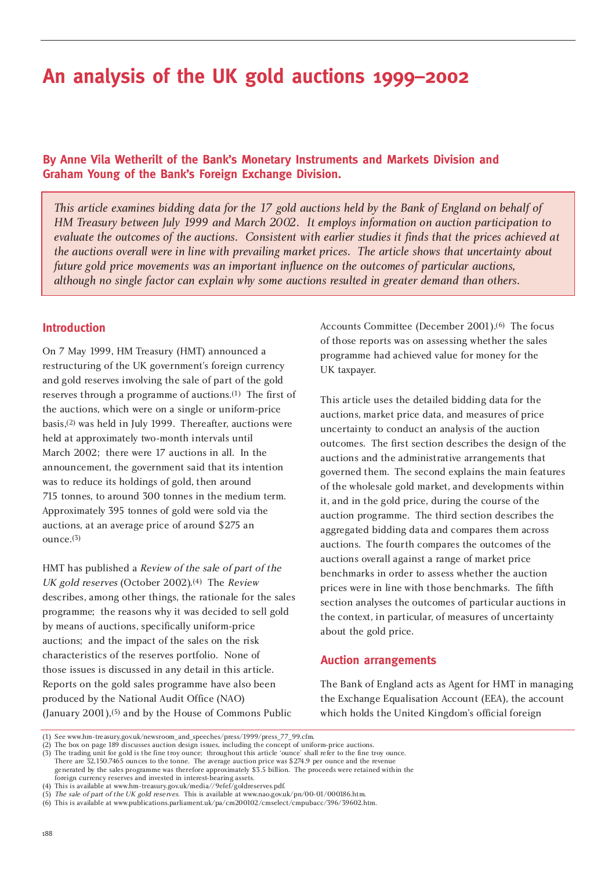# **An analysis of the UK gold auctions 1999–2002**

# **By Anne Vila Wetherilt of the Bank's Monetary Instruments and Markets Division and Graham Young of the Bank's Foreign Exchange Division.**

*This article examines bidding data for the 17 gold auctions held by the Bank of England on behalf of HM Treasury between July 1999 and March 2002. It employs information on auction participation to evaluate the outcomes of the auctions. Consistent with earlier studies it finds that the prices achieved at the auctions overall were in line with prevailing market prices. The article shows that uncertainty about future gold price movements was an important influence on the outcomes of particular auctions, although no single factor can explain why some auctions resulted in greater demand than others.* 

# **Introduction**

On 7 May 1999, HM Treasury (HMT) announced a restructuring of the UK government's foreign currency and gold reserves involving the sale of part of the gold reserves through a programme of auctions.(1) The first of the auctions, which were on a single or uniform-price basis,(2) was held in July 1999. Thereafter, auctions were held at approximately two-month intervals until March 2002; there were 17 auctions in all. In the announcement, the government said that its intention was to reduce its holdings of gold, then around 715 tonnes, to around 300 tonnes in the medium term. Approximately 395 tonnes of gold were sold via the auctions, at an average price of around \$275 an ounce.(3)

HMT has published a Review of the sale of part of the UK gold reserves (October 2002).(4) The Review describes, among other things, the rationale for the sales programme; the reasons why it was decided to sell gold by means of auctions, specifically uniform-price auctions; and the impact of the sales on the risk characteristics of the reserves portfolio. None of those issues is discussed in any detail in this article. Reports on the gold sales programme have also been produced by the National Audit Office (NAO) (January 2001),(5) and by the House of Commons Public

Accounts Committee (December 2001).(6) The focus of those reports was on assessing whether the sales programme had achieved value for money for the UK taxpayer.

This article uses the detailed bidding data for the auctions, market price data, and measures of price uncertainty to conduct an analysis of the auction outcomes. The first section describes the design of the auctions and the administrative arrangements that governed them. The second explains the main features of the wholesale gold market, and developments within it, and in the gold price, during the course of the auction programme. The third section describes the aggregated bidding data and compares them across auctions. The fourth compares the outcomes of the auctions overall against a range of market price benchmarks in order to assess whether the auction prices were in line with those benchmarks. The fifth section analyses the outcomes of particular auctions in the context, in particular, of measures of uncertainty about the gold price.

# **Auction arrangements**

The Bank of England acts as Agent for HMT in managing the Exchange Equalisation Account (EEA), the account which holds the United Kingdom's official foreign

<sup>(1)</sup> See www.hm-treasury.gov.uk/newsroom\_and\_speeches/press/1999/press\_77\_99.cfm.

<sup>(2)</sup> The box on page 189 discusses auction design issues, including the concept of uniform-price auctions.

<sup>(3)</sup> The trading unit for gold is the fine troy ounce; throughout this article 'ounce' shall refer to the fine troy ounce.

There are 32,150.7465 ounces to the tonne. The average auction price was \$274.9 per ounce and the revenue generated by the sales programme was therefore approximately \$3.5 billion. The proceeds were retained within the foreign currency reserves and invested in interest-bearing assets.

<sup>(4)</sup> This is available at www.hm-treasury.gov.uk/media//9efef/goldreserves.pdf.

<sup>(5)</sup> The sale of part of the UK gold reserves. This is available at www.nao.gov.uk/pn/00-01/000186.htm.

<sup>(6)</sup> This is available at www.publications.parliament.uk/pa/cm200102/cmselect/cmpubacc/396/39602.htm.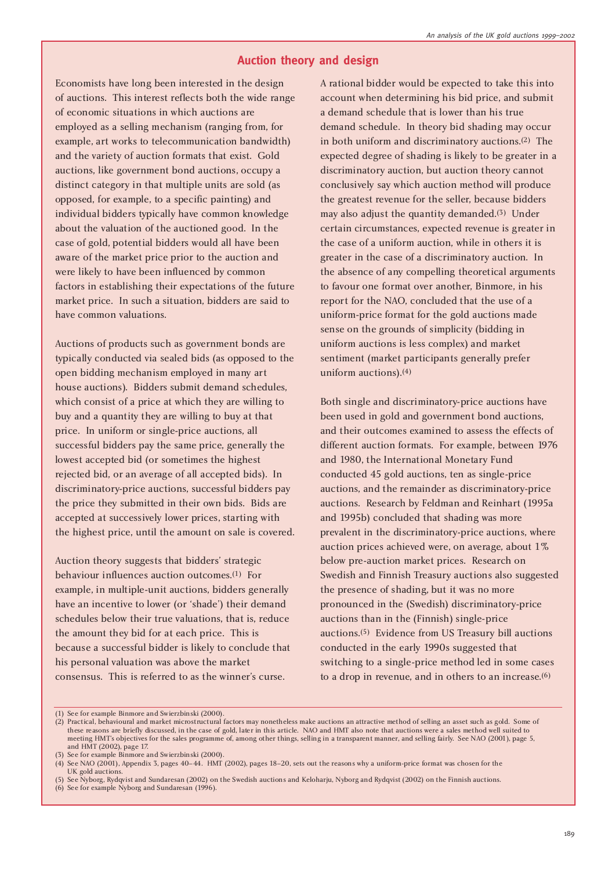# **Auction theory and design**

Economists have long been interested in the design of auctions. This interest reflects both the wide range of economic situations in which auctions are employed as a selling mechanism (ranging from, for example, art works to telecommunication bandwidth) and the variety of auction formats that exist. Gold auctions, like government bond auctions, occupy a distinct category in that multiple units are sold (as opposed, for example, to a specific painting) and individual bidders typically have common knowledge about the valuation of the auctioned good. In the case of gold, potential bidders would all have been aware of the market price prior to the auction and were likely to have been influenced by common factors in establishing their expectations of the future market price. In such a situation, bidders are said to have common valuations.

Auctions of products such as government bonds are typically conducted via sealed bids (as opposed to the open bidding mechanism employed in many art house auctions). Bidders submit demand schedules, which consist of a price at which they are willing to buy and a quantity they are willing to buy at that price. In uniform or single-price auctions, all successful bidders pay the same price, generally the lowest accepted bid (or sometimes the highest rejected bid, or an average of all accepted bids). In discriminatory-price auctions, successful bidders pay the price they submitted in their own bids. Bids are accepted at successively lower prices, starting with the highest price, until the amount on sale is covered.

Auction theory suggests that bidders' strategic behaviour influences auction outcomes.(1) For example, in multiple-unit auctions, bidders generally have an incentive to lower (or 'shade') their demand schedules below their true valuations, that is, reduce the amount they bid for at each price. This is because a successful bidder is likely to conclude that his personal valuation was above the market consensus. This is referred to as the winner's curse.

A rational bidder would be expected to take this into account when determining his bid price, and submit a demand schedule that is lower than his true demand schedule. In theory bid shading may occur in both uniform and discriminatory auctions.(2) The expected degree of shading is likely to be greater in a discriminatory auction, but auction theory cannot conclusively say which auction method will produce the greatest revenue for the seller, because bidders may also adjust the quantity demanded.(3) Under certain circumstances, expected revenue is greater in the case of a uniform auction, while in others it is greater in the case of a discriminatory auction. In the absence of any compelling theoretical arguments to favour one format over another, Binmore, in his report for the NAO, concluded that the use of a uniform-price format for the gold auctions made sense on the grounds of simplicity (bidding in uniform auctions is less complex) and market sentiment (market participants generally prefer uniform auctions).(4)

Both single and discriminatory-price auctions have been used in gold and government bond auctions, and their outcomes examined to assess the effects of different auction formats. For example, between 1976 and 1980, the International Monetary Fund conducted 45 gold auctions, ten as single-price auctions, and the remainder as discriminatory-price auctions. Research by Feldman and Reinhart (1995a and 1995b) concluded that shading was more prevalent in the discriminatory-price auctions, where auction prices achieved were, on average, about 1% below pre-auction market prices. Research on Swedish and Finnish Treasury auctions also suggested the presence of shading, but it was no more pronounced in the (Swedish) discriminatory-price auctions than in the (Finnish) single-price auctions.(5) Evidence from US Treasury bill auctions conducted in the early 1990s suggested that switching to a single-price method led in some cases to a drop in revenue, and in others to an increase.<sup>(6)</sup>

<sup>(1)</sup> See for example Binmore and Swierzbinski (2000).

<sup>(2)</sup> Practical, behavioural and market microstructural factors may nonetheless make auctions an attractive method of selling an asset such as gold. Some of these reasons are briefly discussed, in the case of gold, later in this article. NAO and HMT also note that auctions were a sales method well suited to meeting HMT's objectives for the sales programme of, among other things, selling in a transparent manner, and selling fairly. See NAO (2001), page 5, and HMT (2002), page 17.

<sup>(3)</sup> See for example Binmore and Swierzbinski (2000).

<sup>(4)</sup> See NAO (2001), Appendix 3, pages 40–44. HMT (2002), pages 18–20, sets out the reasons why a uniform-price format was chosen for the UK gold auctions.

<sup>(5)</sup> See Nyborg, Rydqvist and Sundaresan (2002) on the Swedish auctions and Keloharju, Nyborg and Rydqvist (2002) on the Finnish auctions.

<sup>(6)</sup> See for example Nyborg and Sundaresan (1996).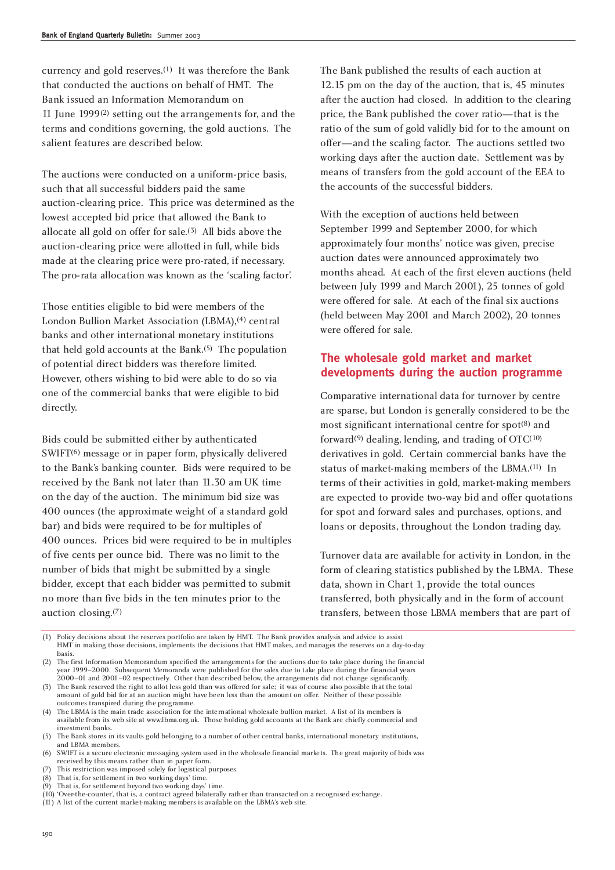currency and gold reserves.(1) It was therefore the Bank that conducted the auctions on behalf of HMT. The Bank issued an Information Memorandum on 11 June 1999(2) setting out the arrangements for, and the terms and conditions governing, the gold auctions. The salient features are described below.

The auctions were conducted on a uniform-price basis, such that all successful bidders paid the same auction-clearing price. This price was determined as the lowest accepted bid price that allowed the Bank to allocate all gold on offer for sale.(3) All bids above the auction-clearing price were allotted in full, while bids made at the clearing price were pro-rated, if necessary. The pro-rata allocation was known as the 'scaling factor'.

Those entities eligible to bid were members of the London Bullion Market Association (LBMA),(4) central banks and other international monetary institutions that held gold accounts at the Bank.(5) The population of potential direct bidders was therefore limited. However, others wishing to bid were able to do so via one of the commercial banks that were eligible to bid directly.

Bids could be submitted either by authenticated SWIFT<sup>(6)</sup> message or in paper form, physically delivered to the Bank's banking counter. Bids were required to be received by the Bank not later than 11.30 am UK time on the day of the auction. The minimum bid size was 400 ounces (the approximate weight of a standard gold bar) and bids were required to be for multiples of 400 ounces. Prices bid were required to be in multiples of five cents per ounce bid. There was no limit to the number of bids that might be submitted by a single bidder, except that each bidder was permitted to submit no more than five bids in the ten minutes prior to the auction closing.(7)

The Bank published the results of each auction at 12.15 pm on the day of the auction, that is, 45 minutes after the auction had closed. In addition to the clearing price, the Bank published the cover ratio—that is the ratio of the sum of gold validly bid for to the amount on offer—and the scaling factor. The auctions settled two working days after the auction date. Settlement was by means of transfers from the gold account of the EEA to the accounts of the successful bidders.

With the exception of auctions held between September 1999 and September 2000, for which approximately four months' notice was given, precise auction dates were announced approximately two months ahead. At each of the first eleven auctions (held between July 1999 and March 2001), 25 tonnes of gold were offered for sale. At each of the final six auctions (held between May 2001 and March 2002), 20 tonnes were offered for sale.

# **The wholesale gold market and market developments during the auction programme**

Comparative international data for turnover by centre are sparse, but London is generally considered to be the most significant international centre for  $spot^{(8)}$  and forward(9) dealing, lending, and trading of OTC(10) derivatives in gold. Certain commercial banks have the status of market-making members of the LBMA.(11) In terms of their activities in gold, market-making members are expected to provide two-way bid and offer quotations for spot and forward sales and purchases, options, and loans or deposits, throughout the London trading day.

Turnover data are available for activity in London, in the form of clearing statistics published by the LBMA. These data, shown in Chart 1, provide the total ounces transferred, both physically and in the form of account transfers, between those LBMA members that are part of

(1) Policy decisions about the reserves portfolio are taken by HMT. The Bank provides analysis and advice to assist HMT in making those decisions, implements the decisions that HMT makes, and manages the reserves on a day-to-day basis.

(2) The first Information Memorandum specified the arrangements for the auctions due to take place during the financial year 1999–2000. Subsequent Memoranda were published for the sales due to take place during the financial years 2000–01 and 2001–02 respectively. Other than described below, the arrangements did not change significantly.

- (3) The Bank reserved the right to allot less gold than was offered for sale; it was of course also possible that the total amount of gold bid for at an auction might have been less than the amount on offer. Neither of these possible outcomes transpired during the programme.
- (4) The LBMA is the main trade association for the international wholesale bullion market. A list of its members is available from its web site at www.lbma.org.uk. Those holding gold accounts at the Bank are chiefly commercial and investment banks.
- (5) The Bank stores in its vaults gold belonging to a number of other central banks, international monetary institutions, and LBMA members.
- (6) SWIFT is a secure electronic messaging system used in the wholesale financial markets. The great majority of bids was received by this means rather than in paper form.
- (7) This restriction was imposed solely for logistical purposes.
- (8) That is, for settlement in two working days' time. (9) That is, for settlement beyond two working days' time.
- (10) 'Over-the-counter', that is, a contract agreed bilaterally rather than transacted on a recognised exchange.
- (11) A list of the current market-making members is available on the LBMA's web site.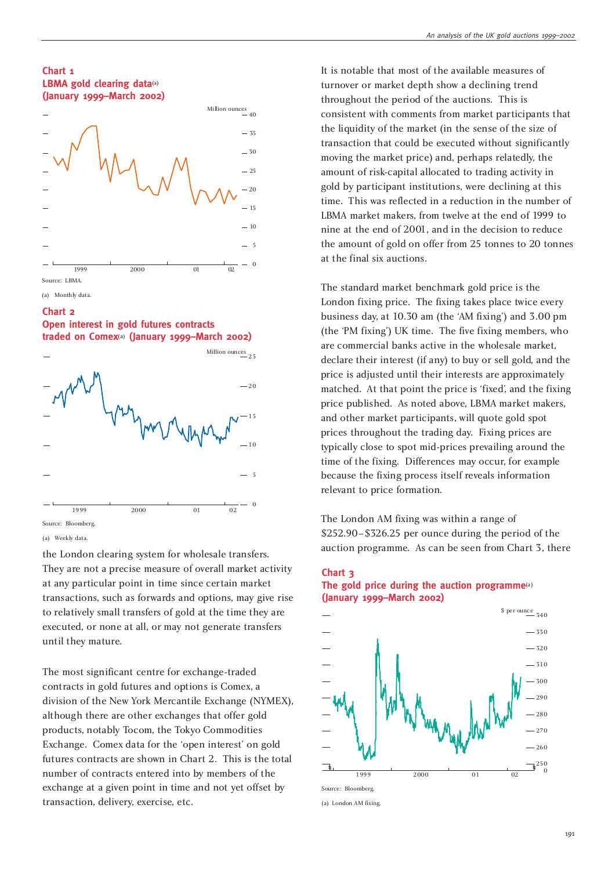#### **Chart 1 LBMA gold clearing data**(a) **(January 1999–March 2002)**



(a) Monthly data.

#### **Chart 2**





<sup>(</sup>a) Weekly data.

the London clearing system for wholesale transfers. They are not a precise measure of overall market activity at any particular point in time since certain market transactions, such as forwards and options, may give rise to relatively small transfers of gold at the time they are executed, or none at all, or may not generate transfers until they mature.

The most significant centre for exchange-traded contracts in gold futures and options is Comex, a division of the New York Mercantile Exchange (NYMEX), although there are other exchanges that offer gold products, notably Tocom, the Tokyo Commodities Exchange. Comex data for the 'open interest' on gold futures contracts are shown in Chart 2. This is the total number of contracts entered into by members of the exchange at a given point in time and not yet offset by transaction, delivery, exercise, etc.

It is notable that most of the available measures of turnover or market depth show a declining trend throughout the period of the auctions. This is consistent with comments from market participants that the liquidity of the market (in the sense of the size of transaction that could be executed without significantly moving the market price) and, perhaps relatedly, the amount of risk-capital allocated to trading activity in gold by participant institutions, were declining at this time. This was reflected in a reduction in the number of LBMA market makers, from twelve at the end of 1999 to nine at the end of 2001, and in the decision to reduce the amount of gold on offer from 25 tonnes to 20 tonnes at the final six auctions.

The standard market benchmark gold price is the London fixing price. The fixing takes place twice every business day, at 10.30 am (the 'AM fixing') and 3.00 pm (the 'PM fixing') UK time. The five fixing members, who are commercial banks active in the wholesale market, declare their interest (if any) to buy or sell gold, and the price is adjusted until their interests are approximately matched. At that point the price is 'fixed', and the fixing price published. As noted above, LBMA market makers, and other market participants, will quote gold spot prices throughout the trading day. Fixing prices are typically close to spot mid-prices prevailing around the time of the fixing. Differences may occur, for example because the fixing process itself reveals information relevant to price formation.

The London AM fixing was within a range of \$252.90–\$326.25 per ounce during the period of the auction programme. As can be seen from Chart 3, there

## **Chart 3 The gold price during the auction programme**(a) **(January 1999–March 2002)**



(a) London AM fixing.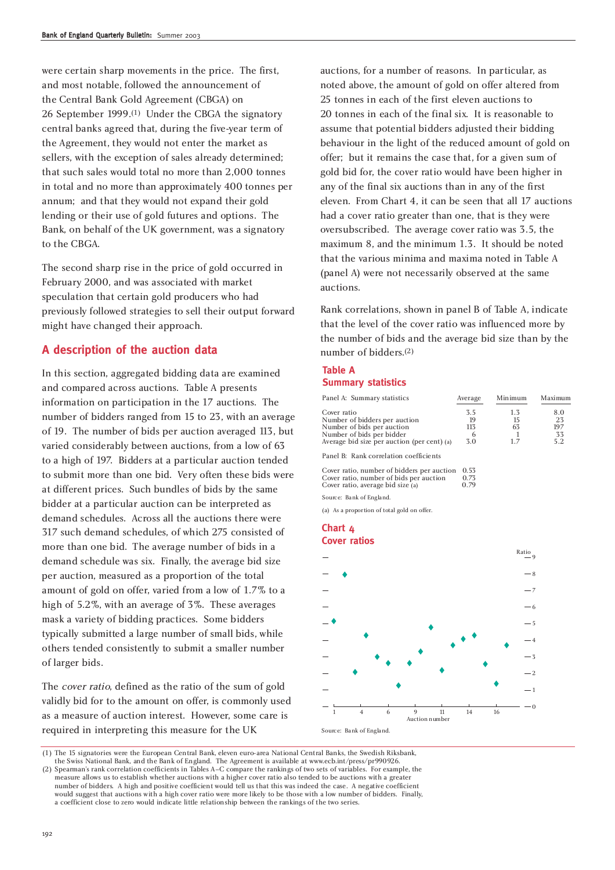were certain sharp movements in the price. The first, and most notable, followed the announcement of the Central Bank Gold Agreement (CBGA) on 26 September 1999.(1) Under the CBGA the signatory central banks agreed that, during the five-year term of the Agreement, they would not enter the market as sellers, with the exception of sales already determined; that such sales would total no more than 2,000 tonnes in total and no more than approximately 400 tonnes per annum; and that they would not expand their gold lending or their use of gold futures and options. The Bank, on behalf of the UK government, was a signatory to the CBGA.

The second sharp rise in the price of gold occurred in February 2000, and was associated with market speculation that certain gold producers who had previously followed strategies to sell their output forward might have changed their approach.

# **A description of the auction data**

In this section, aggregated bidding data are examined and compared across auctions. Table A presents information on participation in the 17 auctions. The number of bidders ranged from 15 to 23, with an average of 19. The number of bids per auction averaged 113, but varied considerably between auctions, from a low of 63 to a high of 197. Bidders at a particular auction tended to submit more than one bid. Very often these bids were at different prices. Such bundles of bids by the same bidder at a particular auction can be interpreted as demand schedules. Across all the auctions there were 317 such demand schedules, of which 275 consisted of more than one bid. The average number of bids in a demand schedule was six. Finally, the average bid size per auction, measured as a proportion of the total amount of gold on offer, varied from a low of 1.7% to a high of 5.2%, with an average of 3%. These averages mask a variety of bidding practices. Some bidders typically submitted a large number of small bids, while others tended consistently to submit a smaller number of larger bids.

The cover ratio, defined as the ratio of the sum of gold validly bid for to the amount on offer, is commonly used as a measure of auction interest. However, some care is required in interpreting this measure for the UK

auctions, for a number of reasons. In particular, as noted above, the amount of gold on offer altered from 25 tonnes in each of the first eleven auctions to 20 tonnes in each of the final six. It is reasonable to assume that potential bidders adjusted their bidding behaviour in the light of the reduced amount of gold on offer; but it remains the case that, for a given sum of gold bid for, the cover ratio would have been higher in any of the final six auctions than in any of the first eleven. From Chart 4, it can be seen that all 17 auctions had a cover ratio greater than one, that is they were oversubscribed. The average cover ratio was 3.5, the maximum 8, and the minimum 1.3. It should be noted that the various minima and maxima noted in Table A (panel A) were not necessarily observed at the same auctions.

Rank correlations, shown in panel B of Table A, indicate that the level of the cover ratio was influenced more by the number of bids and the average bid size than by the number of bidders.(2)

## **Table A Summary statistics**

| Panel A: Summary statistics                                                                                                                            | Average                      | Minimum                | Maximum                       |
|--------------------------------------------------------------------------------------------------------------------------------------------------------|------------------------------|------------------------|-------------------------------|
| Cover ratio<br>Number of bidders per auction<br>Number of bids per auction<br>Number of bids per bidder<br>Average bid size per auction (per cent) (a) | 3.5<br>19<br>113<br>6<br>3.0 | 1.3<br>15<br>63<br>1.7 | 8.0<br>23<br>197<br>33<br>5.2 |
| Panel B: Rank correlation coefficients                                                                                                                 |                              |                        |                               |
| Cover ratio, number of bidders per auction<br>Cover ratio, number of bids per auction                                                                  | 0.53<br>0.73                 |                        |                               |

Cover ratio, average bid size  $(a)$  0.79

Source: Bank of England.

(a) As a proportion of total gold on offer.







(1) The 15 signatories were the European Central Bank, eleven euro-area National Central Banks, the Swedish Riksbank, the Swiss National Bank, and the Bank of England. The Agreement is available at www.ecb.int/press/pr990926.

<sup>(2)</sup> Spearman's rank correlation coefficients in Tables A–C compare the rankings of two sets of variables. For example, the measure allows us to establish whether auctions with a higher cover ratio also tended to be auctions with a greater number of bidders. A high and positive coefficient would tell us that this was indeed the case. A negative coefficient would suggest that auctions with a high cover ratio were more likely to be those with a low number of bidders. Finally, a coefficient close to zero would indicate little relationship between the rankings of the two series.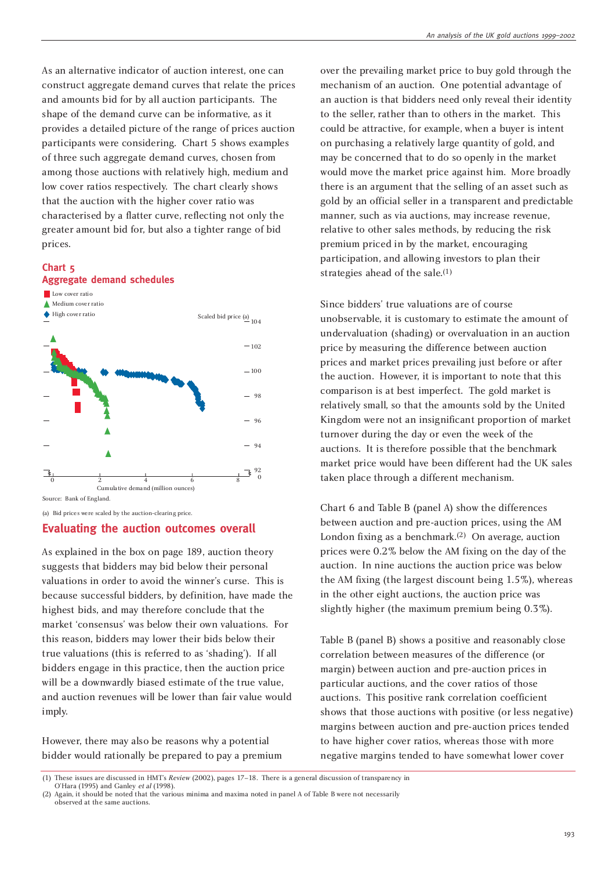As an alternative indicator of auction interest, one can construct aggregate demand curves that relate the prices and amounts bid for by all auction participants. The shape of the demand curve can be informative, as it provides a detailed picture of the range of prices auction participants were considering. Chart 5 shows examples of three such aggregate demand curves, chosen from among those auctions with relatively high, medium and low cover ratios respectively. The chart clearly shows that the auction with the higher cover ratio was characterised by a flatter curve, reflecting not only the greater amount bid for, but also a tighter range of bid prices.

#### **Chart 5 Aggregate demand schedules**



Source: Bank of England.

(a) Bid prices were scaled by the auction-clearing price.

#### **Evaluating the auction outcomes overall**

As explained in the box on page 189, auction theory suggests that bidders may bid below their personal valuations in order to avoid the winner's curse. This is because successful bidders, by definition, have made the highest bids, and may therefore conclude that the market 'consensus' was below their own valuations. For this reason, bidders may lower their bids below their true valuations (this is referred to as 'shading'). If all bidders engage in this practice, then the auction price will be a downwardly biased estimate of the true value, and auction revenues will be lower than fair value would imply.

However, there may also be reasons why a potential bidder would rationally be prepared to pay a premium over the prevailing market price to buy gold through the mechanism of an auction. One potential advantage of an auction is that bidders need only reveal their identity to the seller, rather than to others in the market. This could be attractive, for example, when a buyer is intent on purchasing a relatively large quantity of gold, and may be concerned that to do so openly in the market would move the market price against him. More broadly there is an argument that the selling of an asset such as gold by an official seller in a transparent and predictable manner, such as via auctions, may increase revenue, relative to other sales methods, by reducing the risk premium priced in by the market, encouraging participation, and allowing investors to plan their strategies ahead of the sale.(1)

Since bidders' true valuations are of course unobservable, it is customary to estimate the amount of undervaluation (shading) or overvaluation in an auction price by measuring the difference between auction prices and market prices prevailing just before or after the auction. However, it is important to note that this comparison is at best imperfect. The gold market is relatively small, so that the amounts sold by the United Kingdom were not an insignificant proportion of market turnover during the day or even the week of the auctions. It is therefore possible that the benchmark market price would have been different had the UK sales taken place through a different mechanism.

Chart 6 and Table B (panel A) show the differences between auction and pre-auction prices, using the AM London fixing as a benchmark.(2) On average, auction prices were 0.2% below the AM fixing on the day of the auction. In nine auctions the auction price was below the AM fixing (the largest discount being 1.5%), whereas in the other eight auctions, the auction price was slightly higher (the maximum premium being 0.3%).

Table B (panel B) shows a positive and reasonably close correlation between measures of the difference (or margin) between auction and pre-auction prices in particular auctions, and the cover ratios of those auctions. This positive rank correlation coefficient shows that those auctions with positive (or less negative) margins between auction and pre-auction prices tended to have higher cover ratios, whereas those with more negative margins tended to have somewhat lower cover

<sup>(1)</sup> These issues are discussed in HMT's Review (2002), pages 17–18. There is a general discussion of transparency in

O'Hara (1995) and Ganley et al (1998). (2) Again, it should be noted that the various minima and maxima noted in panel A of Table B were not necessarily

observed at the same auctions.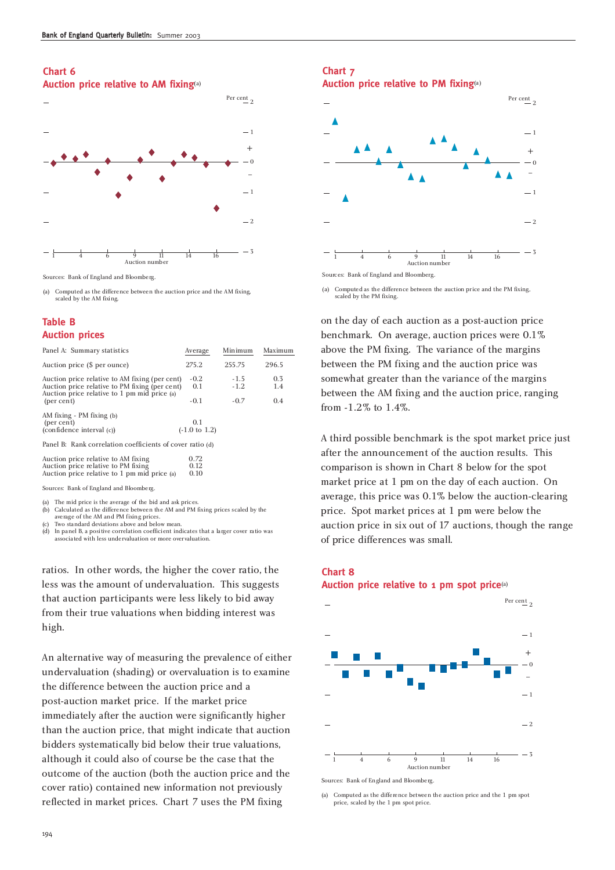#### **Chart 6 Auction price relative to AM fixing**(a)



Sources: Bank of England and Bloomberg.

(a) Computed as the difference between the auction price and the AM fixing, scaled by the AM fixing.

## **Table B Auction prices**

| Panel A: Summary statistics                                                                                                                      | Average                         | Minimum          | Maximum    |  |
|--------------------------------------------------------------------------------------------------------------------------------------------------|---------------------------------|------------------|------------|--|
| Auction price (\$ per ounce)                                                                                                                     | 275.2                           | 255.75           | 296.5      |  |
| Auction price relative to AM fixing (per cent)<br>Auction price relative to PM fixing (per cent)<br>Auction price relative to 1 pm mid price (a) | $-0.2$<br>0.1                   | $-1.5$<br>$-1.2$ | 0.3<br>1.4 |  |
| (per cent)                                                                                                                                       | $-0.1$                          | $-0.7$           | 0.4        |  |
| AM fixing - PM fixing (b)<br>(per cent)<br>(confidence interval (c))                                                                             | 0.1<br>$(-1.0 \text{ to } 1.2)$ |                  |            |  |
| Panel B: Rank correlation coefficients of cover ratio (d)                                                                                        |                                 |                  |            |  |
| Auction price relative to AM fixing<br>Auction price relative to PM fixing<br>Auction price relative to 1 pm mid price (a)                       | 0.72<br>0.12<br>0.10            |                  |            |  |
|                                                                                                                                                  |                                 |                  |            |  |

Sources: Bank of England and Bloomberg.

(a) The mid price is the average of the bid and ask prices.<br>(b) Calculated as the difference between the AM and PM

Calculated as the difference between the AM and PM fixing prices scaled by the average of the AM and PM fixing prices.

Two standard deviations above and below mean

 $(d)$  In panel B, a positive correlation coefficient indicates that a larger cover ratio was bciated with less undervaluation or more overvaluation.

ratios. In other words, the higher the cover ratio, the less was the amount of undervaluation. This suggests that auction participants were less likely to bid away from their true valuations when bidding interest was high.

An alternative way of measuring the prevalence of either undervaluation (shading) or overvaluation is to examine the difference between the auction price and a post-auction market price. If the market price immediately after the auction were significantly higher than the auction price, that might indicate that auction bidders systematically bid below their true valuations, although it could also of course be the case that the outcome of the auction (both the auction price and the cover ratio) contained new information not previously reflected in market prices. Chart 7 uses the PM fixing

# **Chart 7**

**Auction price relative to PM fixing**(a)



(a) Computed as the difference between the auction price and the PM fixing, scaled by the PM fixing.

on the day of each auction as a post-auction price benchmark. On average, auction prices were 0.1% above the PM fixing. The variance of the margins between the PM fixing and the auction price was somewhat greater than the variance of the margins between the AM fixing and the auction price, ranging from -1.2% to 1.4%.

A third possible benchmark is the spot market price just after the announcement of the auction results. This comparison is shown in Chart 8 below for the spot market price at 1 pm on the day of each auction. On average, this price was 0.1% below the auction-clearing price. Spot market prices at 1 pm were below the auction price in six out of 17 auctions, though the range of price differences was small.

# **Chart 8 Auction price relative to 1 pm spot price**(a)



Sources: Bank of England and Bloomberg.

(a) Computed as the difference between the auction price and the 1 pm spot price, scaled by the 1 pm spot price.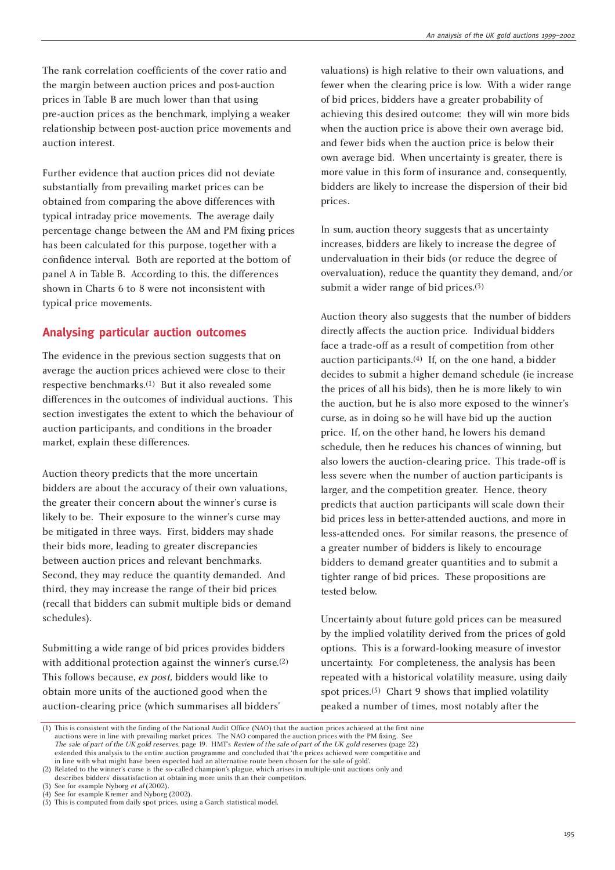The rank correlation coefficients of the cover ratio and the margin between auction prices and post-auction prices in Table B are much lower than that using pre-auction prices as the benchmark, implying a weaker relationship between post-auction price movements and auction interest.

Further evidence that auction prices did not deviate substantially from prevailing market prices can be obtained from comparing the above differences with typical intraday price movements. The average daily percentage change between the AM and PM fixing prices has been calculated for this purpose, together with a confidence interval. Both are reported at the bottom of panel A in Table B. According to this, the differences shown in Charts 6 to 8 were not inconsistent with typical price movements.

# **Analysing particular auction outcomes**

The evidence in the previous section suggests that on average the auction prices achieved were close to their respective benchmarks.(1) But it also revealed some differences in the outcomes of individual auctions. This section investigates the extent to which the behaviour of auction participants, and conditions in the broader market, explain these differences.

Auction theory predicts that the more uncertain bidders are about the accuracy of their own valuations, the greater their concern about the winner's curse is likely to be. Their exposure to the winner's curse may be mitigated in three ways. First, bidders may shade their bids more, leading to greater discrepancies between auction prices and relevant benchmarks. Second, they may reduce the quantity demanded. And third, they may increase the range of their bid prices (recall that bidders can submit multiple bids or demand schedules).

Submitting a wide range of bid prices provides bidders with additional protection against the winner's curse.<sup>(2)</sup> This follows because, ex post, bidders would like to obtain more units of the auctioned good when the auction-clearing price (which summarises all bidders'

valuations) is high relative to their own valuations, and fewer when the clearing price is low. With a wider range of bid prices, bidders have a greater probability of achieving this desired outcome: they will win more bids when the auction price is above their own average bid, and fewer bids when the auction price is below their own average bid. When uncertainty is greater, there is more value in this form of insurance and, consequently, bidders are likely to increase the dispersion of their bid prices.

In sum, auction theory suggests that as uncertainty increases, bidders are likely to increase the degree of undervaluation in their bids (or reduce the degree of overvaluation), reduce the quantity they demand, and/or submit a wider range of bid prices.(3)

Auction theory also suggests that the number of bidders directly affects the auction price. Individual bidders face a trade-off as a result of competition from other auction participants.(4) If, on the one hand, a bidder decides to submit a higher demand schedule (ie increase the prices of all his bids), then he is more likely to win the auction, but he is also more exposed to the winner's curse, as in doing so he will have bid up the auction price. If, on the other hand, he lowers his demand schedule, then he reduces his chances of winning, but also lowers the auction-clearing price. This trade-off is less severe when the number of auction participants is larger, and the competition greater. Hence, theory predicts that auction participants will scale down their bid prices less in better-attended auctions, and more in less-attended ones. For similar reasons, the presence of a greater number of bidders is likely to encourage bidders to demand greater quantities and to submit a tighter range of bid prices. These propositions are tested below.

Uncertainty about future gold prices can be measured by the implied volatility derived from the prices of gold options. This is a forward-looking measure of investor uncertainty. For completeness, the analysis has been repeated with a historical volatility measure, using daily spot prices.(5) Chart 9 shows that implied volatility peaked a number of times, most notably after the

<sup>(1)</sup> This is consistent with the finding of the National Audit Office (NAO) that the auction prices achieved at the first nine auctions were in line with prevailing market prices. The NAO compared the auction prices with the PM fixing. See The sale of part of the UK gold reserves, page 19. HMT's Review of the sale of part of the UK gold reserves (page 22) extended this analysis to the entire auction programme and concluded that 'the prices achieved were competitive and in line with what might have been expected had an alternative route been chosen for the sale of gold'. (2) Related to the winner's curse is the so-called champion's plague, which arises in multiple-unit auctions only and

describes bidders' dissatisfaction at obtaining more units than their competitors.

<sup>(3)</sup> See for example Nyborg et al (2002). (4) See for example Kremer and Nyborg (2002).

<sup>(5)</sup> This is computed from daily spot prices, using a Garch statistical model.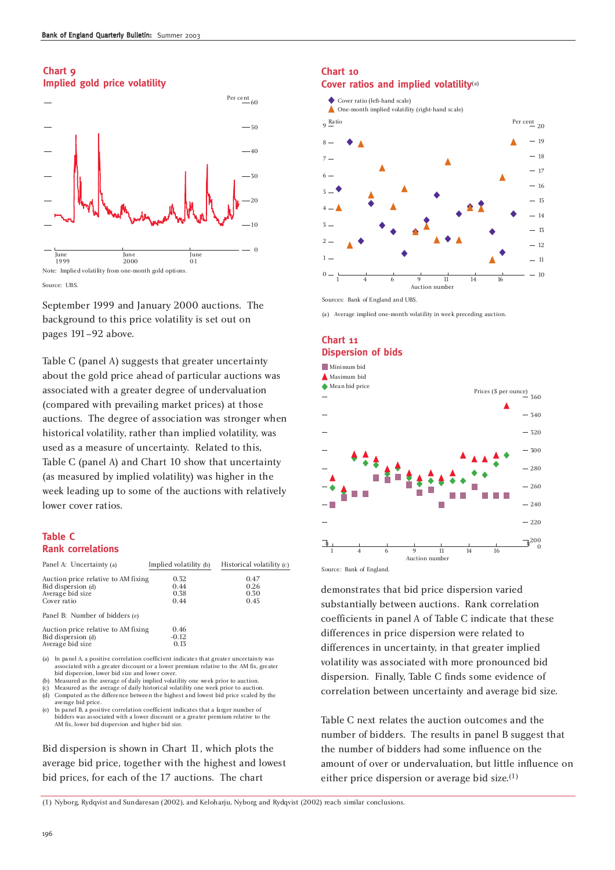#### **Chart 9 Implied gold price volatility**



Source: UBS.

September 1999 and January 2000 auctions. The background to this price volatility is set out on pages 191–92 above.

Table C (panel A) suggests that greater uncertainty about the gold price ahead of particular auctions was associated with a greater degree of undervaluation (compared with prevailing market prices) at those auctions. The degree of association was stronger when historical volatility, rather than implied volatility, was used as a measure of uncertainty. Related to this, Table C (panel A) and Chart 10 show that uncertainty (as measured by implied volatility) was higher in the week leading up to some of the auctions with relatively lower cover ratios.

# **Table C Rank correlations**

| Panel A: Uncertainty (a)                                                                                                                                                                                                      | Implied volatility (b)       | Historical volatility (c)    |
|-------------------------------------------------------------------------------------------------------------------------------------------------------------------------------------------------------------------------------|------------------------------|------------------------------|
| Auction price relative to AM fixing<br>Bid dispersion (d)<br>Average bid size<br>Cover ratio                                                                                                                                  | 0.32<br>0.44<br>0.38<br>0.44 | 0.47<br>0.26<br>0.30<br>0.45 |
| Panel B: Number of bidders (e)                                                                                                                                                                                                |                              |                              |
| Auction price relative to AM fixing<br>Bid dispersion (d)<br>Average bid size                                                                                                                                                 | 0.46<br>$-0.12$<br>0.13      |                              |
| . Z.A → Tarra can all A – a consideration in compatibility of the Constitution of the Communication of the Communication of the Communication of the Communication of the Communication of the Communication of the Communica |                              |                              |

(a) In panel A, a positive correlation coefficient indicates that greater uncertainty was associated with a greater discount or a lower premium relative to the AM fix, greater bid dispersion, lower bid size and lower cover

(b) Measured as the average of daily implied volatility one week prior to auction.

(c) Measured as the average of daily historical volatility one week prior to auction.<br>(d) Computed as the difference between the highest and lowest bid price scaled b Computed as the difference between the highest and lowest bid price scaled by the average bid price.

(e) In panel B, a positive correlation coefficient indicates that a larger number of bidders was associated with a lower discount or a greater premium relative to the AM fix, lower bid dispersion and higher bid size.

Bid dispersion is shown in Chart 11, which plots the average bid price, together with the highest and lowest bid prices, for each of the 17 auctions. The chart

## **Chart 10 Cover ratios and implied volatility**(a)



Sources: Bank of England and UBS.

(a) Average implied one-month volatility in week preceding auction.

# **Chart 11 Dispersion of bids**



Source: Bank of England.

demonstrates that bid price dispersion varied substantially between auctions. Rank correlation coefficients in panel A of Table C indicate that these differences in price dispersion were related to differences in uncertainty, in that greater implied volatility was associated with more pronounced bid dispersion. Finally, Table C finds some evidence of correlation between uncertainty and average bid size.

Table C next relates the auction outcomes and the number of bidders. The results in panel B suggest that the number of bidders had some influence on the amount of over or undervaluation, but little influence on either price dispersion or average bid size.(1)

(1) Nyborg, Rydqvist and Sundaresan (2002), and Keloharju, Nyborg and Rydqvist (2002) reach similar conclusions.